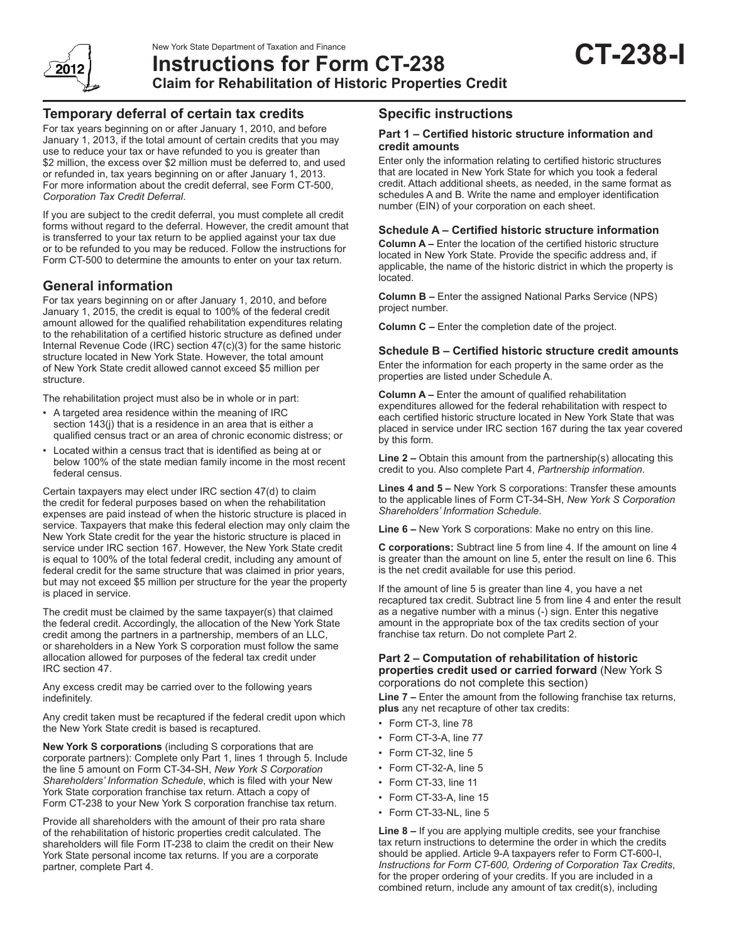

New York State Department of Taxation and Finance<br>Instructions for Form CT-238 **CT-238 Claim for Rehabilitation of Historic Properties Credit**

# **Temporary deferral of certain tax credits**

For tax years beginning on or after January 1, 2010, and before January 1, 2013, if the total amount of certain credits that you may use to reduce your tax or have refunded to you is greater than \$2 million, the excess over \$2 million must be deferred to, and used or refunded in, tax years beginning on or after January 1, 2013. For more information about the credit deferral, see Form CT-500, *Corporation Tax Credit Deferral*.

If you are subject to the credit deferral, you must complete all credit forms without regard to the deferral. However, the credit amount that is transferred to your tax return to be applied against your tax due or to be refunded to you may be reduced. Follow the instructions for Form CT-500 to determine the amounts to enter on your tax return.

# **General information**

For tax years beginning on or after January 1, 2010, and before January 1, 2015, the credit is equal to 100% of the federal credit amount allowed for the qualified rehabilitation expenditures relating to the rehabilitation of a certified historic structure as defined under Internal Revenue Code (IRC) section 47(c)(3) for the same historic structure located in New York State. However, the total amount of New York State credit allowed cannot exceed \$5 million per structure.

The rehabilitation project must also be in whole or in part:

- A targeted area residence within the meaning of IRC section 143(j) that is a residence in an area that is either a qualified census tract or an area of chronic economic distress; or
- Located within a census tract that is identified as being at or below 100% of the state median family income in the most recent federal census.

Certain taxpayers may elect under IRC section 47(d) to claim the credit for federal purposes based on when the rehabilitation expenses are paid instead of when the historic structure is placed in service. Taxpayers that make this federal election may only claim the New York State credit for the year the historic structure is placed in service under IRC section 167. However, the New York State credit is equal to 100% of the total federal credit, including any amount of federal credit for the same structure that was claimed in prior years, but may not exceed \$5 million per structure for the year the property is placed in service.

The credit must be claimed by the same taxpayer(s) that claimed the federal credit. Accordingly, the allocation of the New York State credit among the partners in a partnership, members of an LLC, or shareholders in a New York S corporation must follow the same allocation allowed for purposes of the federal tax credit under IRC section 47.

Any excess credit may be carried over to the following years indefinitely.

Any credit taken must be recaptured if the federal credit upon which the New York State credit is based is recaptured.

**New York S corporations** (including S corporations that are corporate partners): Complete only Part 1, lines 1 through 5. Include the line 5 amount on Form CT-34-SH, *New York S Corporation Shareholders' Information Schedule*, which is filed with your New York State corporation franchise tax return. Attach a copy of Form CT-238 to your New York S corporation franchise tax return.

Provide all shareholders with the amount of their pro rata share of the rehabilitation of historic properties credit calculated. The shareholders will file Form IT-238 to claim the credit on their New York State personal income tax returns. If you are a corporate partner, complete Part 4.

# **Specific instructions**

### **Part 1 – Certified historic structure information and credit amounts**

Enter only the information relating to certified historic structures that are located in New York State for which you took a federal credit. Attach additional sheets, as needed, in the same format as schedules A and B. Write the name and employer identification number (EIN) of your corporation on each sheet.

### **Schedule A – Certified historic structure information**

**Column A –** Enter the location of the certified historic structure located in New York State. Provide the specific address and, if applicable, the name of the historic district in which the property is located.

**Column B –** Enter the assigned National Parks Service (NPS) project number.

**Column C –** Enter the completion date of the project.

### **Schedule B – Certified historic structure credit amounts**

Enter the information for each property in the same order as the properties are listed under Schedule A.

**Column A –** Enter the amount of qualified rehabilitation expenditures allowed for the federal rehabilitation with respect to each certified historic structure located in New York State that was placed in service under IRC section 167 during the tax year covered by this form.

**Line 2 –** Obtain this amount from the partnership(s) allocating this credit to you. Also complete Part 4, *Partnership information*.

**Lines 4 and 5 –** New York S corporations: Transfer these amounts to the applicable lines of Form CT-34-SH, *New York S Corporation Shareholders' Information Schedule*.

**Line 6 –** New York S corporations: Make no entry on this line.

**C corporations:** Subtract line 5 from line 4. If the amount on line 4 is greater than the amount on line 5, enter the result on line 6. This is the net credit available for use this period.

If the amount of line 5 is greater than line 4, you have a net recaptured tax credit. Subtract line 5 from line 4 and enter the result as a negative number with a minus (-) sign. Enter this negative amount in the appropriate box of the tax credits section of your franchise tax return. Do not complete Part 2.

#### **Part 2 – Computation of rehabilitation of historic properties credit used or carried forward** (New York S corporations do not complete this section)

**Line 7 –** Enter the amount from the following franchise tax returns, **plus** any net recapture of other tax credits:

- Form CT-3, line 78
- Form CT-3-A, line 77
- Form CT-32, line 5
- Form CT-32-A, line 5
- Form CT-33, line 11
- Form CT-33-A, line 15
- Form CT-33-NL, line 5

**Line 8 –** If you are applying multiple credits, see your franchise tax return instructions to determine the order in which the credits should be applied. Article 9-A taxpayers refer to Form CT-600-I, *Instructions for Form CT-600, Ordering of Corporation Tax Credits*, for the proper ordering of your credits. If you are included in a combined return, include any amount of tax credit(s), including